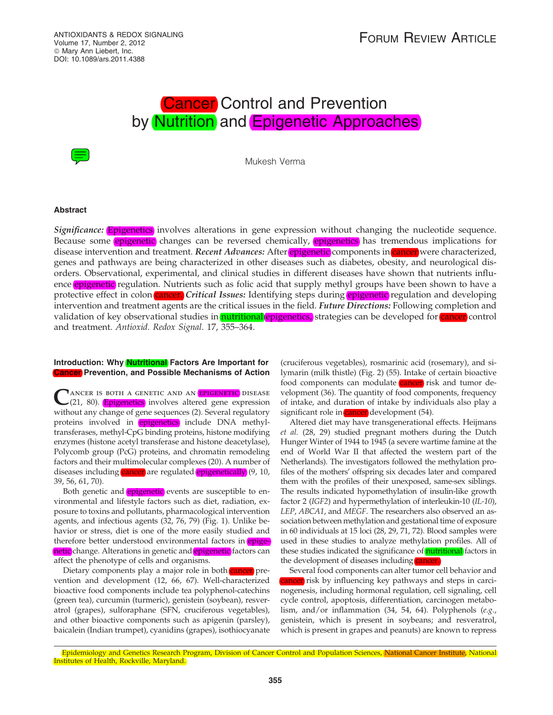# **Cancer** Control and Prevention by Nutrition and Epigenetic Approaches



Mukesh Verma

# Abstract

Significance: **Epigenetics** involves alterations in gene expression without changing the nucleotide sequence. Because some **epigenetic** changes can be reversed chemically, **epigenetics** has tremendous implications for disease intervention and treatment. Recent Advances: After epigenetic components in cancer were characterized, genes and pathways are being characterized in other diseases such as diabetes, obesity, and neurological disorders. Observational, experimental, and clinical studies in different diseases have shown that nutrients influence epigenetic regulation. Nutrients such as folic acid that supply methyl groups have been shown to have a protective effect in colon cancer. Critical Issues: Identifying steps during epigenetic regulation and developing intervention and treatment agents are the critical issues in the field. *Future Directions:* Following completion and validation of key observational studies in *nutritional epigenetics*, strategies can be developed for **cancer** control and treatment. Antioxid. Redox Signal. 17, 355–364.

## Introduction: Why Nutritional Factors Are Important for **Cancer** Prevention, and Possible Mechanisms of Action

CANCER IS BOTH A GENETIC AND AN EPICENETIC DISEASE<br>(21, 80). Epigenetics involves altered gene expression without any change of gene sequences (2). Several regulatory proteins involved in **epigenetics** include DNA methyltransferases, methyl-CpG binding proteins, histone modifying enzymes (histone acetyl transferase and histone deacetylase), Polycomb group (PcG) proteins, and chromatin remodeling factors and their multimolecular complexes (20). A number of diseases including cancer are regulated epigenetically (9, 10, 39, 56, 61, 70).

Both genetic and *epigenetic* events are susceptible to environmental and lifestyle factors such as diet, radiation, exposure to toxins and pollutants, pharmacological intervention agents, and infectious agents (32, 76, 79) (Fig. 1). Unlike behavior or stress, diet is one of the more easily studied and therefore better understood environmental factors in **epige**netic change. Alterations in genetic and epigenetic factors can affect the phenotype of cells and organisms.

Dietary components play a major role in both cancer prevention and development (12, 66, 67). Well-characterized bioactive food components include tea polyphenol-catechins (green tea), curcumin (turmeric), genistein (soybean), resveratrol (grapes), sulforaphane (SFN, cruciferous vegetables), and other bioactive components such as apigenin (parsley), baicalein (Indian trumpet), cyanidins (grapes), isothiocyanate

(cruciferous vegetables), rosmarinic acid (rosemary), and silymarin (milk thistle) (Fig. 2) (55). Intake of certain bioactive food components can modulate cancer risk and tumor development (36). The quantity of food components, frequency of intake, and duration of intake by individuals also play a significant role in **cancer** development (54).

Altered diet may have transgenerational effects. Heijmans et al. (28, 29) studied pregnant mothers during the Dutch Hunger Winter of 1944 to 1945 (a severe wartime famine at the end of World War II that affected the western part of the Netherlands). The investigators followed the methylation profiles of the mothers' offspring six decades later and compared them with the profiles of their unexposed, same-sex siblings. The results indicated hypomethylation of insulin-like growth factor 2 (IGF2) and hypermethylation of interleukin-10 (IL-10), LEP, ABCA1, and MEGF. The researchers also observed an association between methylation and gestational time of exposure in 60 individuals at 15 loci (28, 29, 71, 72). Blood samples were used in these studies to analyze methylation profiles. All of these studies indicated the significance of nutritional factors in the development of diseases including cancer.

Several food components can alter tumor cell behavior and ancer risk by influencing key pathways and steps in carcinogenesis, including hormonal regulation, cell signaling, cell cycle control, apoptosis, differentiation, carcinogen metabolism, and/or inflammation (34, 54, 64). Polyphenols (e.g., genistein, which is present in soybeans; and resveratrol, which is present in grapes and peanuts) are known to repress

Epidemiology and Genetics Research Program, Division of Cancer Control and Population Sciences, National Cancer Institute, National Institutes of Health, Rockville, Maryland.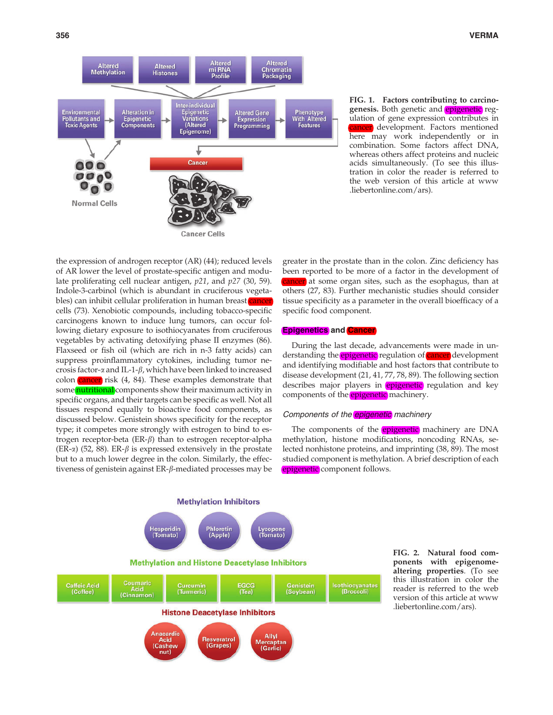

FIG. 1. Factors contributing to carcinogenesis. Both genetic and **epigenetic** regulation of gene expression contributes in c development. Factors mentioned here may work independently or in combination. Some factors affect DNA, whereas others affect proteins and nucleic acids simultaneously. (To see this illustration in color the reader is referred to the web version of this article at www .liebertonline.com/ars).

the expression of androgen receptor (AR) (44); reduced levels of AR lower the level of prostate-specific antigen and modulate proliferating cell nuclear antigen, p21, and p27 (30, 59). Indole-3-carbinol (which is abundant in cruciferous vegetables) can inhibit cellular proliferation in human breast cancer cells (73). Xenobiotic compounds, including tobacco-specific carcinogens known to induce lung tumors, can occur following dietary exposure to isothiocyanates from cruciferous vegetables by activating detoxifying phase II enzymes (86). Flaxseed or fish oil (which are rich in n-3 fatty acids) can suppress proinflammatory cytokines, including tumor necrosis factor- $\alpha$  and IL-1- $\beta$ , which have been linked to increased colon  $\frac{cancer}{\text{risk}}$  risk (4, 84). These examples demonstrate that some nutritional components show their maximum activity in specific organs, and their targets can be specific as well. Not all tissues respond equally to bioactive food components, as discussed below. Genistein shows specificity for the receptor type; it competes more strongly with estrogen to bind to estrogen receptor-beta ( $ER-\beta$ ) than to estrogen receptor-alpha (ER- $\alpha$ ) (52, 88). ER- $\beta$  is expressed extensively in the prostate but to a much lower degree in the colon. Similarly, the effectiveness of genistein against  $ER-\beta$ -mediated processes may be greater in the prostate than in the colon. Zinc deficiency has been reported to be more of a factor in the development of cancer at some organ sites, such as the esophagus, than at others (27, 83). Further mechanistic studies should consider tissue specificity as a parameter in the overall bioefficacy of a specific food component.

#### Epigenetics and Cancer

During the last decade, advancements were made in understanding the *epigenetic* regulation of **cancer** development and identifying modifiable and host factors that contribute to disease development (21, 41, 77, 78, 89). The following section describes major players in **epigenetic** regulation and key components of the *epigenetic* machinery.

#### Components of the **epigenetic** machinery

The components of the **epigenetic** machinery are DNA methylation, histone modifications, noncoding RNAs, selected nonhistone proteins, and imprinting (38, 89). The most studied component is methylation. A brief description of each epigenetic component follows.



FIG. 2. Natural food components with epigenomealtering properties. (To see this illustration in color the reader is referred to the web version of this article at www .liebertonline.com/ars).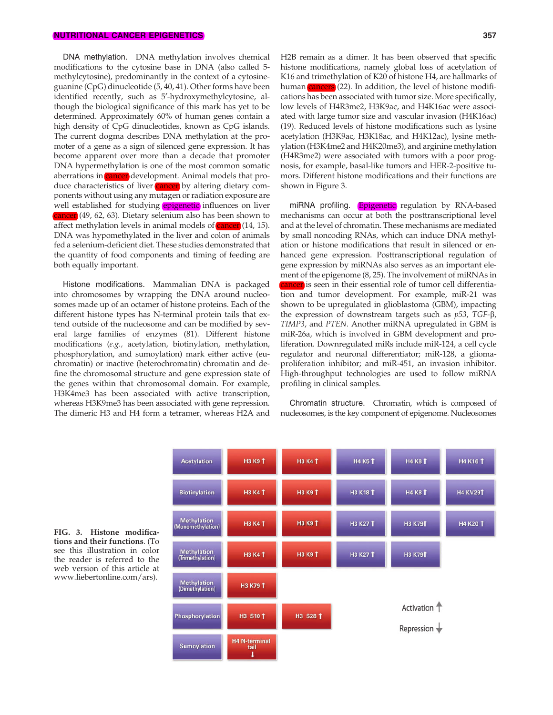## NUTRITIONAL CANCER EPIGENETICS 357

DNA methylation. DNA methylation involves chemical modifications to the cytosine base in DNA (also called 5 methylcytosine), predominantly in the context of a cytosineguanine (CpG) dinucleotide (5, 40, 41). Other forms have been identified recently, such as 5'-hydroxymethylcytosine, although the biological significance of this mark has yet to be determined. Approximately 60% of human genes contain a high density of CpG dinucleotides, known as CpG islands. The current dogma describes DNA methylation at the promoter of a gene as a sign of silenced gene expression. It has become apparent over more than a decade that promoter DNA hypermethylation is one of the most common somatic aberrations in **cancer** development. Animal models that produce characteristics of liver cancer by altering dietary components without using any mutagen or radiation exposure are well established for studying **epigenetic** influences on liver cancer (49, 62, 63). Dietary selenium also has been shown to affect methylation levels in animal models of **cancer** (14, 15). DNA was hypomethylated in the liver and colon of animals fed a selenium-deficient diet. These studies demonstrated that the quantity of food components and timing of feeding are both equally important.

Histone modifications. Mammalian DNA is packaged into chromosomes by wrapping the DNA around nucleosomes made up of an octamer of histone proteins. Each of the different histone types has N-terminal protein tails that extend outside of the nucleosome and can be modified by several large families of enzymes (81). Different histone modifications (e.g., acetylation, biotinylation, methylation, phosphorylation, and sumoylation) mark either active (euchromatin) or inactive (heterochromatin) chromatin and define the chromosomal structure and gene expression state of the genes within that chromosomal domain. For example, H3K4me3 has been associated with active transcription, whereas H3K9me3 has been associated with gene repression. The dimeric H3 and H4 form a tetramer, whereas H2A and H2B remain as a dimer. It has been observed that specific histone modifications, namely global loss of acetylation of K16 and trimethylation of K20 of histone H4, are hallmarks of human cancers (22). In addition, the level of histone modifications has been associated with tumor size. More specifically, low levels of H4R3me2, H3K9ac, and H4K16ac were associated with large tumor size and vascular invasion (H4K16ac) (19). Reduced levels of histone modifications such as lysine acetylation (H3K9ac, H3K18ac, and H4K12ac), lysine methylation (H3K4me2 and H4K20me3), and arginine methylation (H4R3me2) were associated with tumors with a poor prognosis, for example, basal-like tumors and HER-2-positive tumors. Different histone modifications and their functions are shown in Figure 3.

miRNA profiling. **Epigenetic** regulation by RNA-based mechanisms can occur at both the posttranscriptional level and at the level of chromatin. These mechanisms are mediated by small noncoding RNAs, which can induce DNA methylation or histone modifications that result in silenced or enhanced gene expression. Posttranscriptional regulation of gene expression by miRNAs also serves as an important element of the epigenome (8, 25). The involvement of miRNAs in er is seen in their essential role of tumor cell differentiation and tumor development. For example, miR-21 was shown to be upregulated in glioblastoma (GBM), impacting the expression of downstream targets such as  $p53$ , TGF- $\beta$ , TIMP3, and PTEN. Another miRNA upregulated in GBM is miR-26a, which is involved in GBM development and proliferation. Downregulated miRs include miR-124, a cell cycle regulator and neuronal differentiator; miR-128, a gliomaproliferation inhibitor; and miR-451, an invasion inhibitor. High-throughput technologies are used to follow miRNA profiling in clinical samples.

Chromatin structure. Chromatin, which is composed of nucleosomes, is the key component of epigenome. Nucleosomes



FIG. 3. Histone modifications and their functions. (To see this illustration in color the reader is referred to the web version of this article at www.liebertonline.com/ars).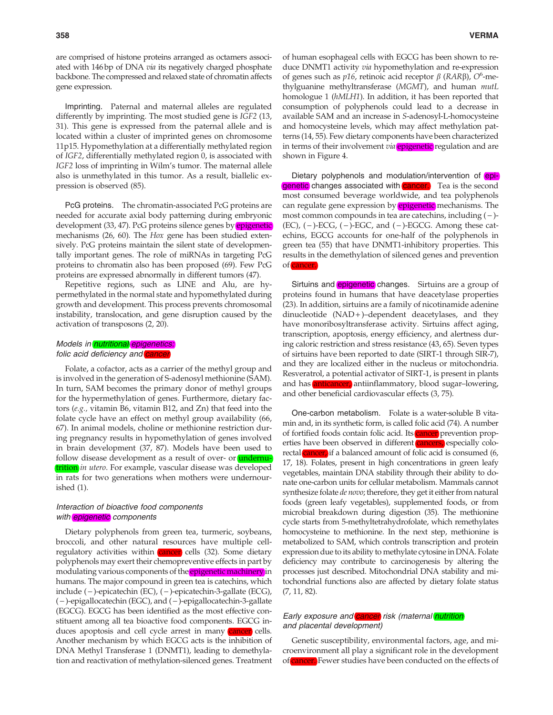are comprised of histone proteins arranged as octamers associated with 146 bp of DNA via its negatively charged phosphate backbone. The compressed and relaxed state of chromatin affects gene expression.

Imprinting. Paternal and maternal alleles are regulated differently by imprinting. The most studied gene is IGF2 (13, 31). This gene is expressed from the paternal allele and is located within a cluster of imprinted genes on chromosome 11p15. Hypomethylation at a differentially methylated region of IGF2, differentially methylated region 0, is associated with IGF2 loss of imprinting in Wilm's tumor. The maternal allele also is unmethylated in this tumor. As a result, biallelic expression is observed (85).

PcG proteins. The chromatin-associated PcG proteins are needed for accurate axial body patterning during embryonic development (33, 47). PcG proteins silence genes by **epigenetic** mechanisms (26, 60). The Hox gene has been studied extensively. PcG proteins maintain the silent state of developmentally important genes. The role of miRNAs in targeting PcG proteins to chromatin also has been proposed (69). Few PcG proteins are expressed abnormally in different tumors (47).

Repetitive regions, such as LINE and Alu, are hypermethylated in the normal state and hypomethylated during growth and development. This process prevents chromosomal instability, translocation, and gene disruption caused by the activation of transposons (2, 20).

## Models in nutritional epigenetics: folic acid deficiency and cancer

Folate, a cofactor, acts as a carrier of the methyl group and is involved in the generation of S-adenosyl methionine (SAM). In turn, SAM becomes the primary donor of methyl groups for the hypermethylation of genes. Furthermore, dietary factors (e.g., vitamin B6, vitamin B12, and Zn) that feed into the folate cycle have an effect on methyl group availability (66, 67). In animal models, choline or methionine restriction during pregnancy results in hypomethylation of genes involved in brain development (37, 87). Models have been used to follow disease development as a result of over- or undernu**trition** in utero. For example, vascular disease was developed in rats for two generations when mothers were undernourished (1).

## Interaction of bioactive food components with *epigenetic* components

Dietary polyphenols from green tea, turmeric, soybeans, broccoli, and other natural resources have multiple cellregulatory activities within cancer cells (32). Some dietary polyphenols may exert their chemopreventive effects in part by modulating various components of the *epigenetic machinery* in humans. The major compound in green tea is catechins, which include (-)-epicatechin (EC), (-)-epicatechin-3-gallate (ECG),  $(-)$ -epigallocatechin (EGC), and  $(-)$ -epigallocatechin-3-gallate (EGCG). EGCG has been identified as the most effective constituent among all tea bioactive food components. EGCG induces apoptosis and cell cycle arrest in many cancer cells. Another mechanism by which EGCG acts is the inhibition of DNA Methyl Transferase 1 (DNMT1), leading to demethylation and reactivation of methylation-silenced genes. Treatment of human esophageal cells with EGCG has been shown to reduce DNMT1 activity via hypomethylation and re-expression of genes such as p16, retinoic acid receptor  $\beta$  (RAR $\beta$ ), O<sup>6</sup>-methylguanine methyltransferase (MGMT), and human mutL homologue 1 (hMLH1). In addition, it has been reported that consumption of polyphenols could lead to a decrease in available SAM and an increase in S-adenosyl-L-homocysteine and homocysteine levels, which may affect methylation patterns (14, 55). Few dietary components have been characterized in terms of their involvement via epigenetic regulation and are shown in Figure 4.

Dietary polyphenols and modulation/intervention of **epi**genetic changes associated with cancer. Tea is the second most consumed beverage worldwide, and tea polyphenols can regulate gene expression by **epigenetic** mechanisms. The most common compounds in tea are catechins, including  $(-)$ - $(EC)$ ,  $(-)$ -ECG,  $(-)$ -EGC, and  $(-)$ -EGCG. Among these catechins, EGCG accounts for one-half of the polyphenols in green tea (55) that have DNMT1-inhibitory properties. This results in the demethylation of silenced genes and prevention of cancer.

Sirtuins and **epigenetic** changes. Sirtuins are a group of proteins found in humans that have deacetylase properties (23). In addition, sirtuins are a family of nicotinamide adenine dinucleotide  $(NAD +)$ –dependent deacetylases, and they have monoribosyltransferase activity. Sirtuins affect aging, transcription, apoptosis, energy efficiency, and alertness during caloric restriction and stress resistance (43, 65). Seven types of sirtuins have been reported to date (SIRT-1 through SIR-7), and they are localized either in the nucleus or mitochondria. Resveratrol, a potential activator of SIRT-1, is present in plants and has **anticancer**, antiinflammatory, blood sugar-lowering, and other beneficial cardiovascular effects (3, 75).

One-carbon metabolism. Folate is a water-soluble B vitamin and, in its synthetic form, is called folic acid (74). A number of fortified foods contain folic acid. Its cancer prevention properties have been observed in different cancers, especially colorectal cancer, if a balanced amount of folic acid is consumed (6, 17, 18). Folates, present in high concentrations in green leafy vegetables, maintain DNA stability through their ability to donate one-carbon units for cellular metabolism. Mammals cannot synthesize folate *de novo*; therefore, they get it either from natural foods (green leafy vegetables), supplemented foods, or from microbial breakdown during digestion (35). The methionine cycle starts from 5-methyltetrahydrofolate, which remethylates homocysteine to methionine. In the next step, methionine is metabolized to SAM, which controls transcription and protein expression due to its ability to methylate cytosine in DNA. Folate deficiency may contribute to carcinogenesis by altering the processes just described. Mitochondrial DNA stability and mitochondrial functions also are affected by dietary folate status (7, 11, 82).

## Early exposure and cancer risk (maternal nutrition and placental development)

Genetic susceptibility, environmental factors, age, and microenvironment all play a significant role in the development of cancer. Fewer studies have been conducted on the effects of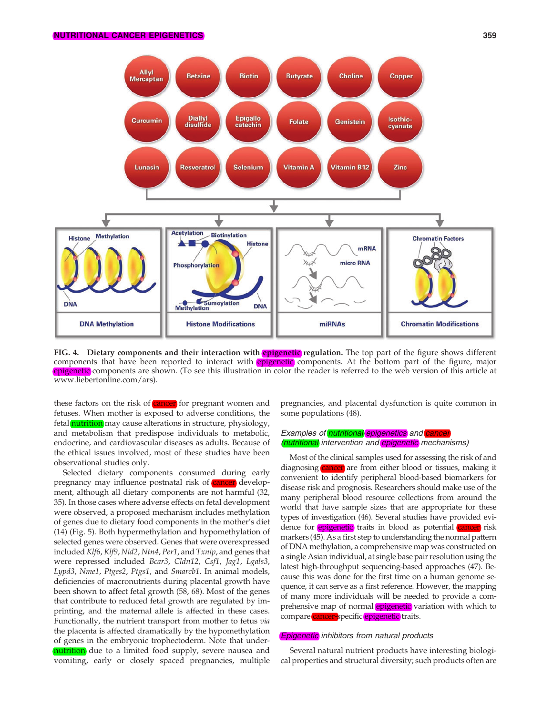### NUTRITIONAL CANCER EPIGENETICS 359



FIG. 4. Dietary components and their interaction with **epigenetic** regulation. The top part of the figure shows different components that have been reported to interact with epigenetic components. At the bottom part of the figure, major epigenetic components are shown. (To see this illustration in color the reader is referred to the web version of this article at www.liebertonline.com/ars).

these factors on the risk of **cancer** for pregnant women and fetuses. When mother is exposed to adverse conditions, the fetal **nutrition** may cause alterations in structure, physiology, and metabolism that predispose individuals to metabolic, endocrine, and cardiovascular diseases as adults. Because of the ethical issues involved, most of these studies have been observational studies only.

Selected dietary components consumed during early pregnancy may influence postnatal risk of **cancer** development, although all dietary components are not harmful (32, 35). In those cases where adverse effects on fetal development were observed, a proposed mechanism includes methylation of genes due to dietary food components in the mother's diet (14) (Fig. 5). Both hypermethylation and hypomethylation of selected genes were observed. Genes that were overexpressed included Klf6, Klf9, Nid2, Ntn4, Per1, and Txnip, and genes that were repressed included Bcar3, Cldn12, Csf1, Jag1, Lgals3, Lypd3, Nme1, Ptges2, Ptgs1, and Smarcb1. In animal models, deficiencies of macronutrients during placental growth have been shown to affect fetal growth (58, 68). Most of the genes that contribute to reduced fetal growth are regulated by imprinting, and the maternal allele is affected in these cases. Functionally, the nutrient transport from mother to fetus via the placenta is affected dramatically by the hypomethylation of genes in the embryonic trophectoderm. Note that undernutrition due to a limited food supply, severe nausea and vomiting, early or closely spaced pregnancies, multiple

pregnancies, and placental dysfunction is quite common in some populations (48).

# Examples of nutritional epigenetics and cancer (nutritional intervention and *epigenetic* mechanisms)

Most of the clinical samples used for assessing the risk of and diagnosing cancer are from either blood or tissues, making it convenient to identify peripheral blood-based biomarkers for disease risk and prognosis. Researchers should make use of the many peripheral blood resource collections from around the world that have sample sizes that are appropriate for these types of investigation (46). Several studies have provided evidence for **epigenetic** traits in blood as potential **cancer** risk markers (45). As a first step to understanding the normal pattern of DNA methylation, a comprehensive map was constructed on a single Asian individual, at single base pair resolution using the latest high-throughput sequencing-based approaches (47). Because this was done for the first time on a human genome sequence, it can serve as a first reference. However, the mapping of many more individuals will be needed to provide a comprehensive map of normal epigenetic variation with which to compare cancer-specific epigenetic traits.

## **Epigenetic** inhibitors from natural products

Several natural nutrient products have interesting biological properties and structural diversity; such products often are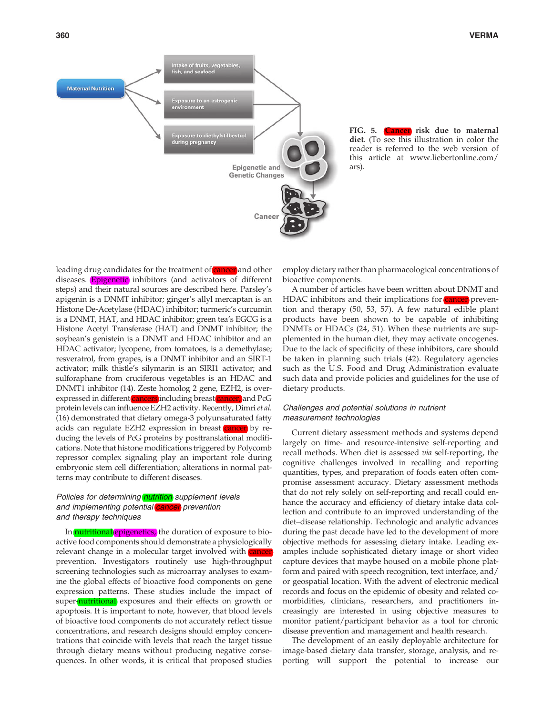



leading drug candidates for the treatment of cancer and other diseases. **Epigenetic** inhibitors (and activators of different steps) and their natural sources are described here. Parsley's apigenin is a DNMT inhibitor; ginger's allyl mercaptan is an Histone De-Acetylase (HDAC) inhibitor; turmeric's curcumin is a DNMT, HAT, and HDAC inhibitor; green tea's EGCG is a Histone Acetyl Transferase (HAT) and DNMT inhibitor; the soybean's genistein is a DNMT and HDAC inhibitor and an HDAC activator; lycopene, from tomatoes, is a demethylase; resveratrol, from grapes, is a DNMT inhibitor and an SIRT-1 activator; milk thistle's silymarin is an SIRI1 activator; and sulforaphane from cruciferous vegetables is an HDAC and DNMT1 inhibitor (14). Zeste homolog 2 gene, EZH2, is overexpressed in different cancers including breast cancer, and PcG protein levels can influence EZH2 activity. Recently, Dimri et al. (16) demonstrated that dietary omega-3 polyunsaturated fatty acids can regulate EZH2 expression in breast cancer by reducing the levels of PcG proteins by posttranslational modifications. Note that histone modifications triggered by Polycomb repressor complex signaling play an important role during embryonic stem cell differentiation; alterations in normal patterns may contribute to different diseases.

# Policies for determining nutrition supplement levels and implementing potential cancer prevention and therapy techniques

In nutritional epigenetics, the duration of exposure to bioactive food components should demonstrate a physiologically relevant change in a molecular target involved with car prevention. Investigators routinely use high-throughput screening technologies such as microarray analyses to examine the global effects of bioactive food components on gene expression patterns. These studies include the impact of super-nutritional exposures and their effects on growth or apoptosis. It is important to note, however, that blood levels of bioactive food components do not accurately reflect tissue concentrations, and research designs should employ concentrations that coincide with levels that reach the target tissue through dietary means without producing negative consequences. In other words, it is critical that proposed studies employ dietary rather than pharmacological concentrations of bioactive components.

A number of articles have been written about DNMT and HDAC inhibitors and their implications for **cancer** prevention and therapy (50, 53, 57). A few natural edible plant products have been shown to be capable of inhibiting DNMTs or HDACs (24, 51). When these nutrients are supplemented in the human diet, they may activate oncogenes. Due to the lack of specificity of these inhibitors, care should be taken in planning such trials (42). Regulatory agencies such as the U.S. Food and Drug Administration evaluate such data and provide policies and guidelines for the use of dietary products.

## Challenges and potential solutions in nutrient measurement technologies

Current dietary assessment methods and systems depend largely on time- and resource-intensive self-reporting and recall methods. When diet is assessed via self-reporting, the cognitive challenges involved in recalling and reporting quantities, types, and preparation of foods eaten often compromise assessment accuracy. Dietary assessment methods that do not rely solely on self-reporting and recall could enhance the accuracy and efficiency of dietary intake data collection and contribute to an improved understanding of the diet–disease relationship. Technologic and analytic advances during the past decade have led to the development of more objective methods for assessing dietary intake. Leading examples include sophisticated dietary image or short video capture devices that maybe housed on a mobile phone platform and paired with speech recognition, text interface, and/ or geospatial location. With the advent of electronic medical records and focus on the epidemic of obesity and related comorbidities, clinicians, researchers, and practitioners increasingly are interested in using objective measures to monitor patient/participant behavior as a tool for chronic disease prevention and management and health research.

The development of an easily deployable architecture for image-based dietary data transfer, storage, analysis, and reporting will support the potential to increase our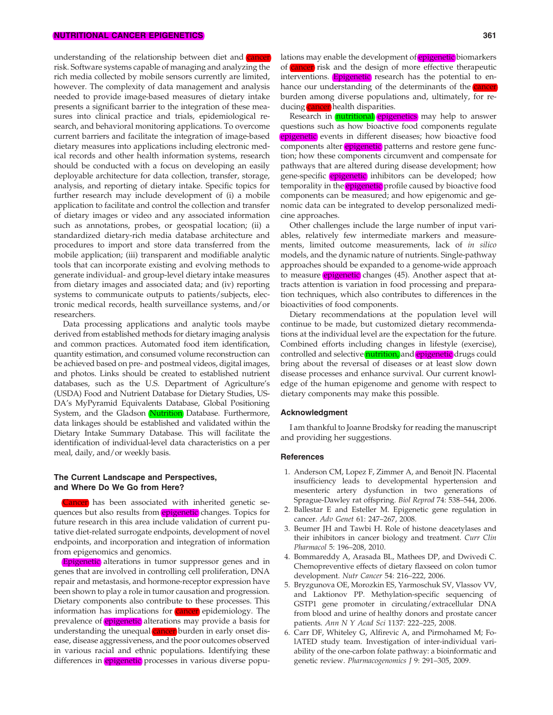understanding of the relationship between diet and **cancer** risk. Software systems capable of managing and analyzing the rich media collected by mobile sensors currently are limited, however. The complexity of data management and analysis needed to provide image-based measures of dietary intake presents a significant barrier to the integration of these measures into clinical practice and trials, epidemiological research, and behavioral monitoring applications. To overcome current barriers and facilitate the integration of image-based dietary measures into applications including electronic medical records and other health information systems, research should be conducted with a focus on developing an easily deployable architecture for data collection, transfer, storage, analysis, and reporting of dietary intake. Specific topics for further research may include development of (i) a mobile application to facilitate and control the collection and transfer of dietary images or video and any associated information such as annotations, probes, or geospatial location; (ii) a standardized dietary-rich media database architecture and procedures to import and store data transferred from the mobile application; (iii) transparent and modifiable analytic tools that can incorporate existing and evolving methods to generate individual- and group-level dietary intake measures from dietary images and associated data; and (iv) reporting systems to communicate outputs to patients/subjects, electronic medical records, health surveillance systems, and/or researchers.

Data processing applications and analytic tools maybe derived from established methods for dietary imaging analysis and common practices. Automated food item identification, quantity estimation, and consumed volume reconstruction can be achieved based on pre- and postmeal videos, digital images, and photos. Links should be created to established nutrient databases, such as the U.S. Department of Agriculture's (USDA) Food and Nutrient Database for Dietary Studies, US-DA's MyPyramid Equivalents Database, Global Positioning System, and the Gladson Nutrition Database. Furthermore, data linkages should be established and validated within the Dietary Intake Summary Database. This will facilitate the identification of individual-level data characteristics on a per meal, daily, and/or weekly basis.

# The Current Landscape and Perspectives, and Where Do We Go from Here?

Cancer has been associated with inherited genetic sequences but also results from **epigenetic** changes. Topics for future research in this area include validation of current putative diet-related surrogate endpoints, development of novel endpoints, and incorporation and integration of information from epigenomics and genomics.

**Epigenetic** alterations in tumor suppressor genes and in genes that are involved in controlling cell proliferation, DNA repair and metastasis, and hormone-receptor expression have been shown to play a role in tumor causation and progression. Dietary components also contribute to these processes. This information has implications for **cancer** epidemiology. The prevalence of **epigenetic** alterations may provide a basis for understanding the unequal cancer burden in early onset disease, disease aggressiveness, and the poor outcomes observed in various racial and ethnic populations. Identifying these differences in **epigenetic** processes in various diverse populations may enable the development of **epigenetic** biomarkers of cancer risk and the design of more effective therapeutic interventions. **Epigenetic** research has the potential to enhance our understanding of the determinants of the **cancer** burden among diverse populations and, ultimately, for reducing **cancer** health disparities.

Research in **nutritional** epigenetics may help to answer questions such as how bioactive food components regulate epigenetic events in different diseases; how bioactive food components alter *epigenetic* patterns and restore gene function; how these components circumvent and compensate for pathways that are altered during disease development; how gene-specific **epigenetic** inhibitors can be developed; how temporality in the *epigenetic* profile caused by bioactive food components can be measured; and how epigenomic and genomic data can be integrated to develop personalized medicine approaches.

Other challenges include the large number of input variables, relatively few intermediate markers and measurements, limited outcome measurements, lack of in silico models, and the dynamic nature of nutrients. Single-pathway approaches should be expanded to a genome-wide approach to measure *epigenetic* changes (45). Another aspect that attracts attention is variation in food processing and preparation techniques, which also contributes to differences in the bioactivities of food components.

Dietary recommendations at the population level will continue to be made, but customized dietary recommendations at the individual level are the expectation for the future. Combined efforts including changes in lifestyle (exercise), controlled and selective nutrition, and epigenetic drugs could bring about the reversal of diseases or at least slow down disease processes and enhance survival. Our current knowledge of the human epigenome and genome with respect to dietary components may make this possible.

## Acknowledgment

I am thankful to Joanne Brodsky for reading the manuscript and providing her suggestions.

#### **References**

- 1. Anderson CM, Lopez F, Zimmer A, and Benoit JN. Placental insufficiency leads to developmental hypertension and mesenteric artery dysfunction in two generations of Sprague-Dawley rat offspring. Biol Reprod 74: 538–544, 2006.
- 2. Ballestar E and Esteller M. Epigenetic gene regulation in cancer. Adv Genet 61: 247–267, 2008.
- 3. Beumer JH and Tawbi H. Role of histone deacetylases and their inhibitors in cancer biology and treatment. Curr Clin Pharmacol 5: 196–208, 2010.
- 4. Bommareddy A, Arasada BL, Mathees DP, and Dwivedi C. Chemopreventive effects of dietary flaxseed on colon tumor development. Nutr Cancer 54: 216–222, 2006.
- 5. Bryzgunova OE, Morozkin ES, Yarmoschuk SV, Vlassov VV, and Laktionov PP. Methylation-specific sequencing of GSTP1 gene promoter in circulating/extracellular DNA from blood and urine of healthy donors and prostate cancer patients. Ann N Y Acad Sci 1137: 222–225, 2008.
- 6. Carr DF, Whiteley G, Alfirevic A, and Pirmohamed M; FolATED study team. Investigation of inter-individual variability of the one-carbon folate pathway: a bioinformatic and genetic review. Pharmacogenomics J 9: 291–305, 2009.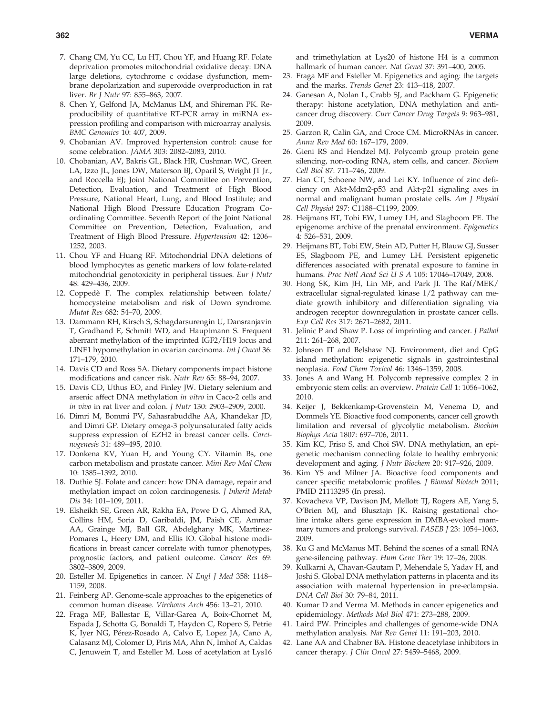- 7. Chang CM, Yu CC, Lu HT, Chou YF, and Huang RF. Folate deprivation promotes mitochondrial oxidative decay: DNA large deletions, cytochrome c oxidase dysfunction, membrane depolarization and superoxide overproduction in rat liver. Br J Nutr 97: 855–863, 2007.
- 8. Chen Y, Gelfond JA, McManus LM, and Shireman PK. Reproducibility of quantitative RT-PCR array in miRNA expression profiling and comparison with microarray analysis. BMC Genomics 10: 407, 2009.
- 9. Chobanian AV. Improved hypertension control: cause for some celebration. JAMA 303: 2082–2083, 2010.
- 10. Chobanian, AV, Bakris GL, Black HR, Cushman WC, Green LA, Izzo JL, Jones DW, Materson BJ, Oparil S, Wright JT Jr., and Roccella EJ; Joint National Committee on Prevention, Detection, Evaluation, and Treatment of High Blood Pressure, National Heart, Lung, and Blood Institute; and National High Blood Pressure Education Program Coordinating Committee. Seventh Report of the Joint National Committee on Prevention, Detection, Evaluation, and Treatment of High Blood Pressure. Hypertension 42: 1206– 1252, 2003.
- 11. Chou YF and Huang RF. Mitochondrial DNA deletions of blood lymphocytes as genetic markers of low folate-related mitochondrial genotoxicity in peripheral tissues. Eur J Nutr 48: 429–436, 2009.
- 12. Coppede` F. The complex relationship between folate/ homocysteine metabolism and risk of Down syndrome. Mutat Res 682: 54–70, 2009.
- 13. Dammann RH, Kirsch S, Schagdarsurengin U, Dansranjavin T, Gradhand E, Schmitt WD, and Hauptmann S. Frequent aberrant methylation of the imprinted IGF2/H19 locus and LINE1 hypomethylation in ovarian carcinoma. Int J Oncol 36: 171–179, 2010.
- 14. Davis CD and Ross SA. Dietary components impact histone modifications and cancer risk. Nutr Rev 65: 88–94, 2007.
- 15. Davis CD, Uthus EO, and Finley JW. Dietary selenium and arsenic affect DNA methylation in vitro in Caco-2 cells and in vivo in rat liver and colon. J Nutr 130: 2903–2909, 2000.
- 16. Dimri M, Bommi PV, Sahasrabuddhe AA, Khandekar JD, and Dimri GP. Dietary omega-3 polyunsaturated fatty acids suppress expression of EZH2 in breast cancer cells. Carcinogenesis 31: 489–495, 2010.
- 17. Donkena KV, Yuan H, and Young CY. Vitamin Bs, one carbon metabolism and prostate cancer. Mini Rev Med Chem 10: 1385–1392, 2010.
- 18. Duthie SJ. Folate and cancer: how DNA damage, repair and methylation impact on colon carcinogenesis. J Inherit Metab Dis 34: 101–109, 2011.
- 19. Elsheikh SE, Green AR, Rakha EA, Powe D G, Ahmed RA, Collins HM, Soria D, Garibaldi, JM, Paish CE, Ammar AA, Grainge MJ, Ball GR, Abdelghany MK, Martinez-Pomares L, Heery DM, and Ellis IO. Global histone modifications in breast cancer correlate with tumor phenotypes, prognostic factors, and patient outcome. Cancer Res 69: 3802–3809, 2009.
- 20. Esteller M. Epigenetics in cancer. N Engl J Med 358: 1148– 1159, 2008.
- 21. Feinberg AP. Genome-scale approaches to the epigenetics of common human disease. Virchows Arch 456: 13–21, 2010.
- 22. Fraga MF, Ballestar E, Villar-Garea A, Boix-Chornet M, Espada J, Schotta G, Bonaldi T, Haydon C, Ropero S, Petrie K, Iyer NG, Pérez-Rosado A, Calvo E, Lopez JA, Cano A, Calasanz MJ, Colomer D, Piris MA, Ahn N, Imhof A, Caldas C, Jenuwein T, and Esteller M. Loss of acetylation at Lys16

and trimethylation at Lys20 of histone H4 is a common hallmark of human cancer. Nat Genet 37: 391–400, 2005.

- 23. Fraga MF and Esteller M. Epigenetics and aging: the targets and the marks. Trends Genet 23: 413–418, 2007.
- 24. Ganesan A, Nolan L, Crabb SJ, and Packham G. Epigenetic therapy: histone acetylation, DNA methylation and anticancer drug discovery. Curr Cancer Drug Targets 9: 963–981, 2009.
- 25. Garzon R, Calin GA, and Croce CM. MicroRNAs in cancer. Annu Rev Med 60: 167–179, 2009.
- 26. Gieni RS and Hendzel MJ. Polycomb group protein gene silencing, non-coding RNA, stem cells, and cancer. Biochem Cell Biol 87: 711–746, 2009.
- 27. Han CT, Schoene NW, and Lei KY. Influence of zinc deficiency on Akt-Mdm2-p53 and Akt-p21 signaling axes in normal and malignant human prostate cells. Am J Physiol Cell Physiol 297: C1188–C1199, 2009.
- 28. Heijmans BT, Tobi EW, Lumey LH, and Slagboom PE. The epigenome: archive of the prenatal environment. Epigenetics 4: 526–531, 2009.
- 29. Heijmans BT, Tobi EW, Stein AD, Putter H, Blauw GJ, Susser ES, Slagboom PE, and Lumey LH. Persistent epigenetic differences associated with prenatal exposure to famine in humans. Proc Natl Acad Sci U S A 105: 17046–17049, 2008.
- 30. Hong SK, Kim JH, Lin MF, and Park JI. The Raf/MEK/ extracellular signal-regulated kinase 1/2 pathway can mediate growth inhibitory and differentiation signaling via androgen receptor downregulation in prostate cancer cells. Exp Cell Res 317: 2671–2682, 2011.
- 31. Jelinic P and Shaw P. Loss of imprinting and cancer. J Pathol 211: 261–268, 2007.
- 32. Johnson IT and Belshaw NJ. Environment, diet and CpG island methylation: epigenetic signals in gastrointestinal neoplasia. Food Chem Toxicol 46: 1346–1359, 2008.
- 33. Jones A and Wang H. Polycomb repressive complex 2 in embryonic stem cells: an overview. Protein Cell 1: 1056–1062, 2010.
- 34. Keijer J, Bekkenkamp-Grovenstein M, Venema D, and Dommels YE. Bioactive food components, cancer cell growth limitation and reversal of glycolytic metabolism. Biochim Biophys Acta 1807: 697–706, 2011.
- 35. Kim KC, Friso S, and Choi SW. DNA methylation, an epigenetic mechanism connecting folate to healthy embryonic development and aging. J Nutr Biochem 20: 917–926, 2009.
- 36. Kim YS and Milner JA. Bioactive food components and cancer specific metabolomic profiles. J Biomed Biotech 2011; PMID 21113295 (In press).
- 37. Kovacheva VP, Davison JM, Mellott TJ, Rogers AE, Yang S, O'Brien MJ, and Blusztajn JK. Raising gestational choline intake alters gene expression in DMBA-evoked mammary tumors and prolongs survival. FASEB J 23: 1054–1063, 2009.
- 38. Ku G and McManus MT. Behind the scenes of a small RNA gene-silencing pathway. Hum Gene Ther 19: 17–26, 2008.
- 39. Kulkarni A, Chavan-Gautam P, Mehendale S, Yadav H, and Joshi S. Global DNA methylation patterns in placenta and its association with maternal hypertension in pre-eclampsia. DNA Cell Biol 30: 79–84, 2011.
- 40. Kumar D and Verma M. Methods in cancer epigenetics and epidemiology. Methods Mol Biol 471: 273–288, 2009.
- 41. Laird PW. Principles and challenges of genome-wide DNA methylation analysis. Nat Rev Genet 11: 191–203, 2010.
- 42. Lane AA and Chabner BA. Histone deacetylase inhibitors in cancer therapy. J Clin Oncol 27: 5459–5468, 2009.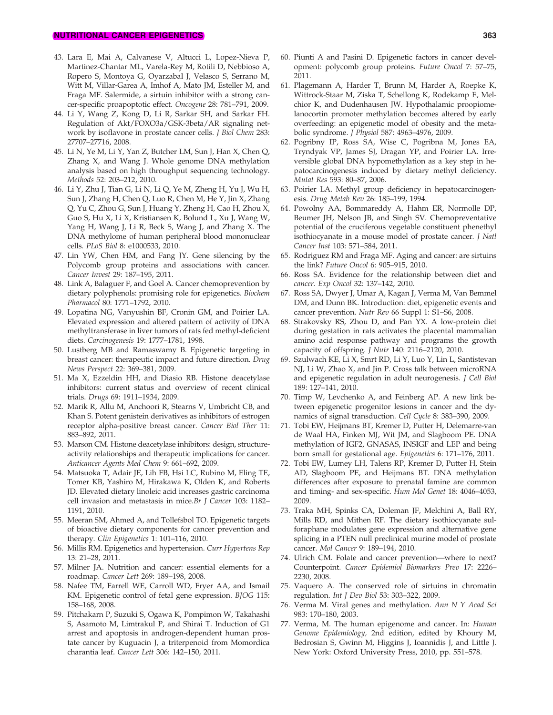- 43. Lara E, Mai A, Calvanese V, Altucci L, Lopez-Nieva P, Martinez-Chantar ML, Varela-Rey M, Rotili D, Nebbioso A, Ropero S, Montoya G, Oyarzabal J, Velasco S, Serrano M, Witt M, Villar-Garea A, Imhof A, Mato JM, Esteller M, and Fraga MF. Salermide, a sirtuin inhibitor with a strong cancer-specific proapoptotic effect. Oncogene 28: 781–791, 2009.
- 44. Li Y, Wang Z, Kong D, Li R, Sarkar SH, and Sarkar FH. Regulation of Akt/FOXO3a/GSK-3beta/AR signaling network by isoflavone in prostate cancer cells. J Biol Chem 283: 27707–27716, 2008.
- 45. Li N, Ye M, Li Y, Yan Z, Butcher LM, Sun J, Han X, Chen Q, Zhang X, and Wang J. Whole genome DNA methylation analysis based on high throughput sequencing technology. Methods 52: 203–212, 2010.
- 46. Li Y, Zhu J, Tian G, Li N, Li Q, Ye M, Zheng H, Yu J, Wu H, Sun J, Zhang H, Chen Q, Luo R, Chen M, He Y, Jin X, Zhang Q, Yu C, Zhou G, Sun J, Huang Y, Zheng H, Cao H, Zhou X, Guo S, Hu X, Li X, Kristiansen K, Bolund L, Xu J, Wang W, Yang H, Wang J, Li R, Beck S, Wang J, and Zhang X. The DNA methylome of human peripheral blood mononuclear cells. PLoS Biol 8: e1000533, 2010.
- 47. Lin YW, Chen HM, and Fang JY. Gene silencing by the Polycomb group proteins and associations with cancer. Cancer Invest 29: 187–195, 2011.
- 48. Link A, Balaguer F, and Goel A. Cancer chemoprevention by dietary polyphenols: promising role for epigenetics. Biochem Pharmacol 80: 1771–1792, 2010.
- 49. Lopatina NG, Vanyushin BF, Cronin GM, and Poirier LA. Elevated expression and altered pattern of activity of DNA methyltransferase in liver tumors of rats fed methyl-deficient diets. Carcinogenesis 19: 1777–1781, 1998.
- 50. Lustberg MB and Ramaswamy B. Epigenetic targeting in breast cancer: therapeutic impact and future direction. Drug News Perspect 22: 369–381, 2009.
- 51. Ma X, Ezzeldin HH, and Diasio RB. Histone deacetylase inhibitors: current status and overview of recent clinical trials. Drugs 69: 1911–1934, 2009.
- 52. Marik R, Allu M, Anchoori R, Stearns V, Umbricht CB, and Khan S. Potent genistein derivatives as inhibitors of estrogen receptor alpha-positive breast cancer. Cancer Biol Ther 11: 883–892, 2011.
- 53. Marson CM. Histone deacetylase inhibitors: design, structureactivity relationships and therapeutic implications for cancer. Anticancer Agents Med Chem 9: 661–692, 2009.
- 54. Matsuoka T, Adair JE, Lih FB, Hsi LC, Rubino M, Eling TE, Tomer KB, Yashiro M, Hirakawa K, Olden K, and Roberts JD. Elevated dietary linoleic acid increases gastric carcinoma cell invasion and metastasis in mice.Br J Cancer 103: 1182– 1191, 2010.
- 55. Meeran SM, Ahmed A, and Tollefsbol TO. Epigenetic targets of bioactive dietary components for cancer prevention and therapy. Clin Epigenetics 1: 101–116, 2010.
- 56. Millis RM. Epigenetics and hypertension. Curr Hypertens Rep 13: 21–28, 2011.
- 57. Milner JA. Nutrition and cancer: essential elements for a roadmap. Cancer Lett 269: 189–198, 2008.
- Nafee TM, Farrell WE, Carroll WD, Fryer AA, and Ismail KM. Epigenetic control of fetal gene expression. BJOG 115: 158–168, 2008.
- 59. Pitchakarn P, Suzuki S, Ogawa K, Pompimon W, Takahashi S, Asamoto M, Limtrakul P, and Shirai T. Induction of G1 arrest and apoptosis in androgen-dependent human prostate cancer by Kuguacin J, a triterpenoid from Momordica charantia leaf. Cancer Lett 306: 142–150, 2011.
- 60. Piunti A and Pasini D. Epigenetic factors in cancer development: polycomb group proteins. Future Oncol 7: 57–75, 2011.
- 61. Plagemann A, Harder T, Brunn M, Harder A, Roepke K, Wittrock-Staar M, Ziska T, Schellong K, Rodekamp E, Melchior K, and Dudenhausen JW. Hypothalamic proopiomelanocortin promoter methylation becomes altered by early overfeeding: an epigenetic model of obesity and the metabolic syndrome. J Physiol 587: 4963–4976, 2009.
- 62. Pogribny IP, Ross SA, Wise C, Pogribna M, Jones EA, Tryndyak VP, James SJ, Dragan YP, and Poirier LA. Irreversible global DNA hypomethylation as a key step in hepatocarcinogenesis induced by dietary methyl deficiency. Mutat Res 593: 80–87, 2006.
- 63. Poirier LA. Methyl group deficiency in hepatocarcinogenesis. Drug Metab Rev 26: 185–199, 1994.
- 64. Powolny AA, Bommareddy A, Hahm ER, Normolle DP, Beumer JH, Nelson JB, and Singh SV. Chemopreventative potential of the cruciferous vegetable constituent phenethyl isothiocyanate in a mouse model of prostate cancer. J Natl Cancer Inst 103: 571–584, 2011.
- 65. Rodriguez RM and Fraga MF. Aging and cancer: are sirtuins the link? Future Oncol 6: 905–915, 2010.
- 66. Ross SA. Evidence for the relationship between diet and cancer. Exp Oncol 32: 137–142, 2010.
- 67. Ross SA, Dwyer J, Umar A, Kagan J, Verma M, Van Bemmel DM, and Dunn BK. Introduction: diet, epigenetic events and cancer prevention. Nutr Rev 66 Suppl 1: S1–S6, 2008.
- 68. Strakovsky RS, Zhou D, and Pan YX. A low-protein diet during gestation in rats activates the placental mammalian amino acid response pathway and programs the growth capacity of offspring. J Nutr 140: 2116–2120, 2010.
- 69. Szulwach KE, Li X, Smrt RD, Li Y, Luo Y, Lin L, Santistevan NJ, Li W, Zhao X, and Jin P. Cross talk between microRNA and epigenetic regulation in adult neurogenesis. J Cell Biol 189: 127–141, 2010.
- 70. Timp W, Levchenko A, and Feinberg AP. A new link between epigenetic progenitor lesions in cancer and the dynamics of signal transduction. Cell Cycle 8: 383–390, 2009.
- 71. Tobi EW, Heijmans BT, Kremer D, Putter H, Delemarre-van de Waal HA, Finken MJ, Wit JM, and Slagboom PE. DNA methylation of IGF2, GNASAS, INSIGF and LEP and being born small for gestational age. Epigenetics 6: 171–176, 2011.
- 72. Tobi EW, Lumey LH, Talens RP, Kremer D, Putter H, Stein AD, Slagboom PE, and Heijmans BT. DNA methylation differences after exposure to prenatal famine are common and timing- and sex-specific. Hum Mol Genet 18: 4046–4053, 2009.
- 73. Traka MH, Spinks CA, Doleman JF, Melchini A, Ball RY, Mills RD, and Mithen RF. The dietary isothiocyanate sulforaphane modulates gene expression and alternative gene splicing in a PTEN null preclinical murine model of prostate cancer. Mol Cancer 9: 189–194, 2010.
- 74. Ulrich CM. Folate and cancer prevention—where to next? Counterpoint. Cancer Epidemiol Biomarkers Prev 17: 2226– 2230, 2008.
- 75. Vaquero A. The conserved role of sirtuins in chromatin regulation. Int J Dev Biol 53: 303–322, 2009.
- 76. Verma M. Viral genes and methylation. Ann N Y Acad Sci 983: 170–180, 2003.
- 77. Verma, M. The human epigenome and cancer. In: Human Genome Epidemiology, 2nd edition, edited by Khoury M, Bedrosian S, Gwinn M, Higgins J, Ioannidis J, and Little J. New York: Oxford University Press, 2010, pp. 551–578.